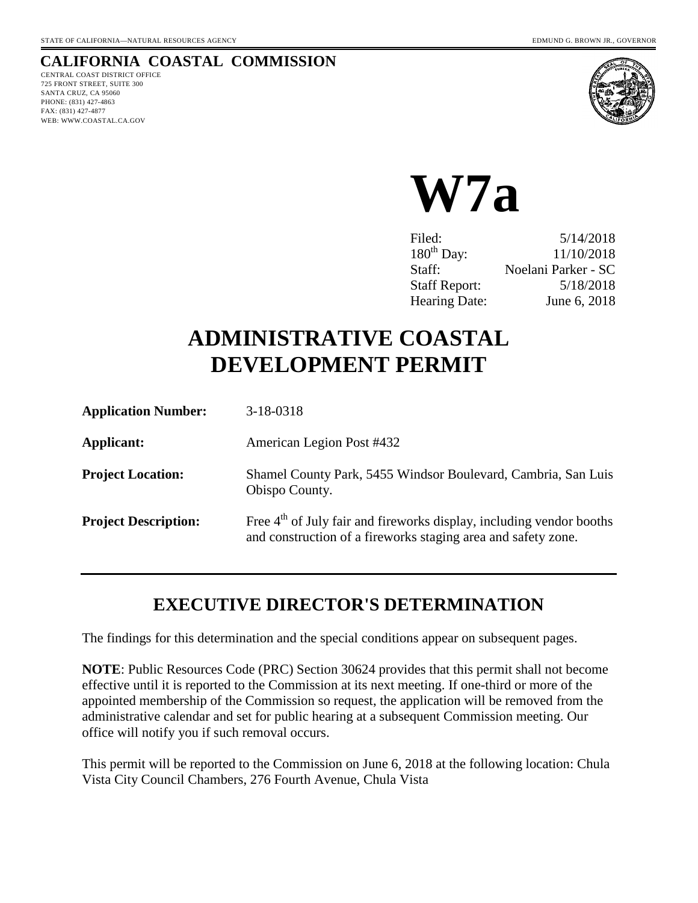### **CALIFORNIA COASTAL COMMISSION**

CENTRAL COAST DISTRICT OFFICE 725 FRONT STREET, SUITE 300 SANTA CRUZ, CA 95060 PHONE: (831) 427-4863 FAX: (831) 427-4877 WEB: WWW.COASTAL.CA.GOV



**W7a** 

Filed: 5/14/2018 180<sup>th</sup> Day: 11/10/2018 Staff: Noelani Parker - SC Staff Report: 5/18/2018 Hearing Date: June 6, 2018

# **ADMINISTRATIVE COASTAL DEVELOPMENT PERMIT**

| <b>Application Number:</b>  | 3-18-0318                                                                                                                                         |
|-----------------------------|---------------------------------------------------------------------------------------------------------------------------------------------------|
| Applicant:                  | American Legion Post #432                                                                                                                         |
| <b>Project Location:</b>    | Shamel County Park, 5455 Windsor Boulevard, Cambria, San Luis<br>Obispo County.                                                                   |
| <b>Project Description:</b> | Free 4 <sup>th</sup> of July fair and fireworks display, including vendor booths<br>and construction of a fireworks staging area and safety zone. |

## **EXECUTIVE DIRECTOR'S DETERMINATION**

The findings for this determination and the special conditions appear on subsequent pages.

**NOTE**: Public Resources Code (PRC) Section 30624 provides that this permit shall not become effective until it is reported to the Commission at its next meeting. If one-third or more of the appointed membership of the Commission so request, the application will be removed from the administrative calendar and set for public hearing at a subsequent Commission meeting. Our office will notify you if such removal occurs.

This permit will be reported to the Commission on June 6, 2018 at the following location: Chula Vista City Council Chambers, 276 Fourth Avenue, Chula Vista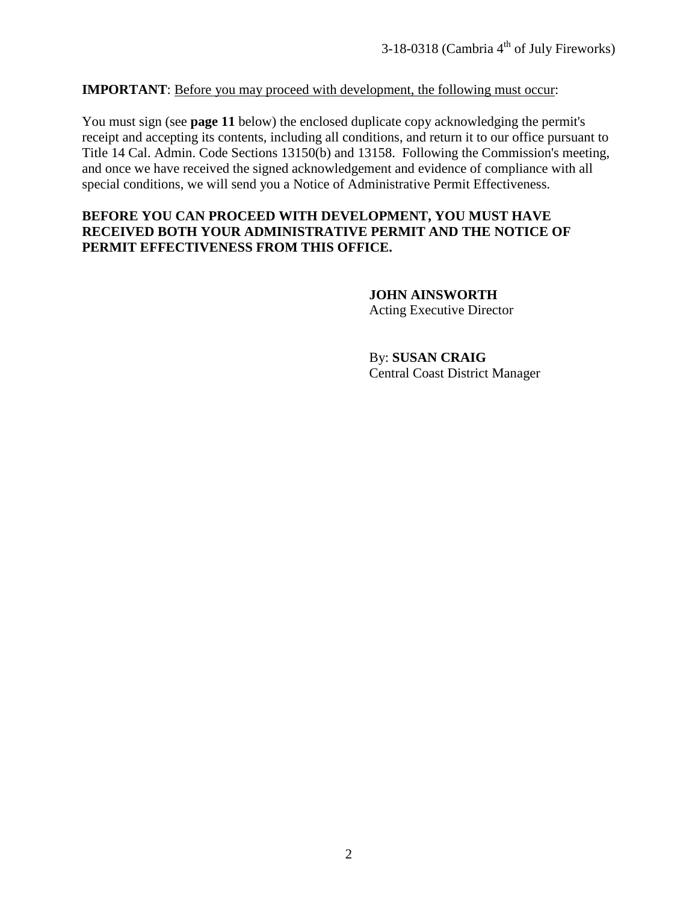#### **IMPORTANT**: Before you may proceed with development, the following must occur:

You must sign (see **page 11** below) the enclosed duplicate copy acknowledging the permit's receipt and accepting its contents, including all conditions, and return it to our office pursuant to Title 14 Cal. Admin. Code Sections 13150(b) and 13158. Following the Commission's meeting, and once we have received the signed acknowledgement and evidence of compliance with all special conditions, we will send you a Notice of Administrative Permit Effectiveness.

#### **BEFORE YOU CAN PROCEED WITH DEVELOPMENT, YOU MUST HAVE RECEIVED BOTH YOUR ADMINISTRATIVE PERMIT AND THE NOTICE OF PERMIT EFFECTIVENESS FROM THIS OFFICE.**

 **JOHN AINSWORTH** Acting Executive Director

 By: **SUSAN CRAIG** Central Coast District Manager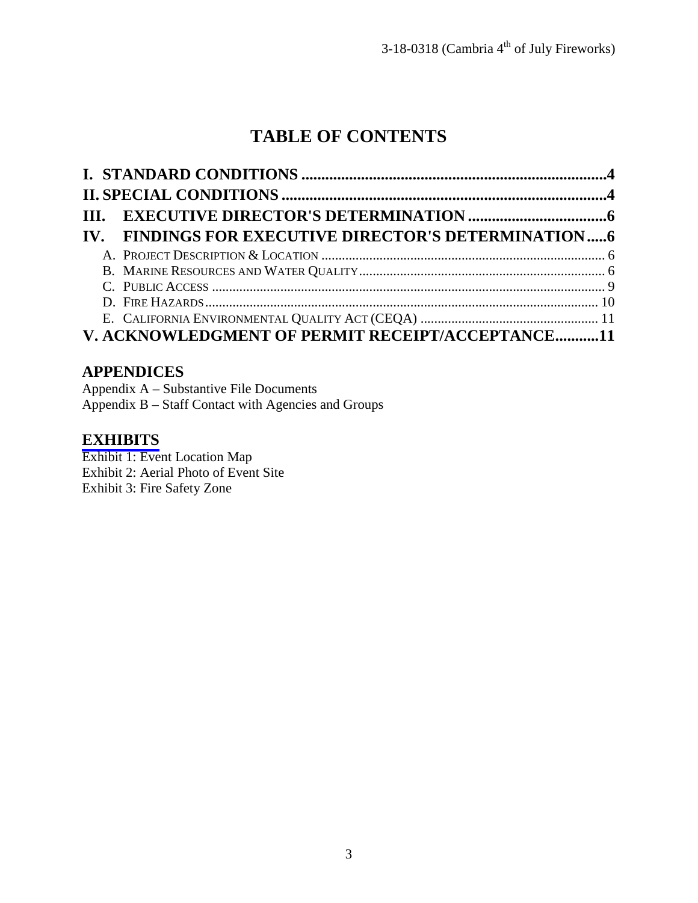## **TABLE OF CONTENTS**

|  | IV. FINDINGS FOR EXECUTIVE DIRECTOR'S DETERMINATION6 |  |
|--|------------------------------------------------------|--|
|  |                                                      |  |
|  |                                                      |  |
|  |                                                      |  |
|  |                                                      |  |
|  |                                                      |  |
|  | V. ACKNOWLEDGMENT OF PERMIT RECEIPT/ACCEPTANCE11     |  |

## **APPENDICES**

Appendix A – Substantive File Documents Appendix B – Staff Contact with Agencies and Groups

## **[EXHIBITS](https://documents.coastal.ca.gov/reports/2018/6/w7a/w7a-6-2018-report.pdf)**

Exhibit 1: Event Location Map Exhibit 2: Aerial Photo of Event Site Exhibit 3: Fire Safety Zone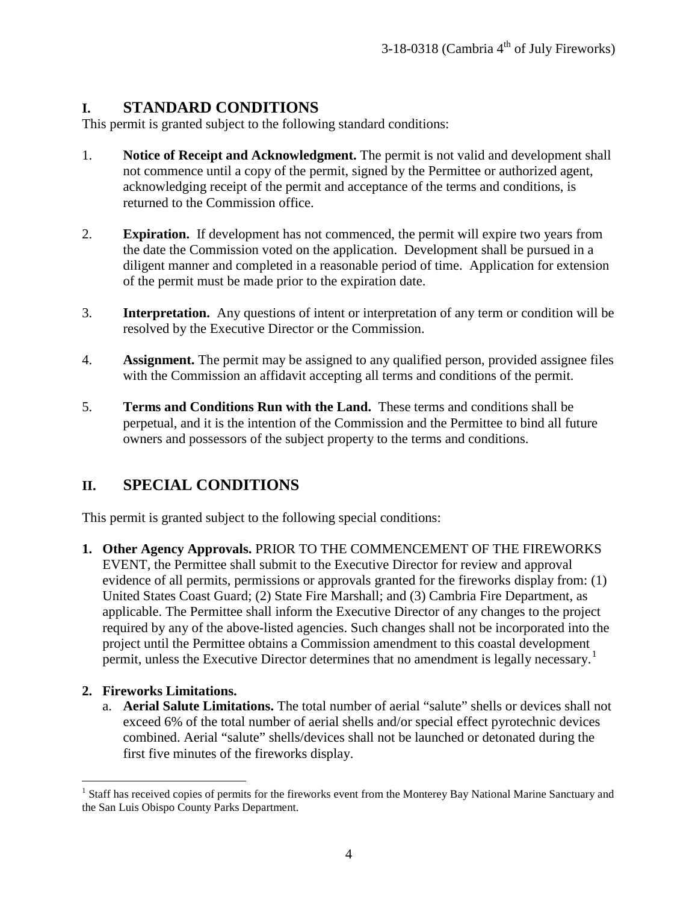## <span id="page-3-0"></span>**I. STANDARD CONDITIONS**

This permit is granted subject to the following standard conditions:

- 1. **Notice of Receipt and Acknowledgment.** The permit is not valid and development shall not commence until a copy of the permit, signed by the Permittee or authorized agent, acknowledging receipt of the permit and acceptance of the terms and conditions, is returned to the Commission office.
- 2. **Expiration.** If development has not commenced, the permit will expire two years from the date the Commission voted on the application. Development shall be pursued in a diligent manner and completed in a reasonable period of time. Application for extension of the permit must be made prior to the expiration date.
- 3. **Interpretation.** Any questions of intent or interpretation of any term or condition will be resolved by the Executive Director or the Commission.
- 4. **Assignment.** The permit may be assigned to any qualified person, provided assignee files with the Commission an affidavit accepting all terms and conditions of the permit.
- 5. **Terms and Conditions Run with the Land.** These terms and conditions shall be perpetual, and it is the intention of the Commission and the Permittee to bind all future owners and possessors of the subject property to the terms and conditions.

## <span id="page-3-1"></span>**II. SPECIAL CONDITIONS**

This permit is granted subject to the following special conditions:

**1. Other Agency Approvals.** PRIOR TO THE COMMENCEMENT OF THE FIREWORKS EVENT, the Permittee shall submit to the Executive Director for review and approval evidence of all permits, permissions or approvals granted for the fireworks display from: (1) United States Coast Guard; (2) State Fire Marshall; and (3) Cambria Fire Department, as applicable. The Permittee shall inform the Executive Director of any changes to the project required by any of the above-listed agencies. Such changes shall not be incorporated into the project until the Permittee obtains a Commission amendment to this coastal development permit, unless the Executive Director determines that no amendment is legally necessary.<sup>[1](#page-3-2)</sup>

#### **2. Fireworks Limitations.**

a. **Aerial Salute Limitations.** The total number of aerial "salute" shells or devices shall not exceed 6% of the total number of aerial shells and/or special effect pyrotechnic devices combined. Aerial "salute" shells/devices shall not be launched or detonated during the first five minutes of the fireworks display.

<span id="page-3-2"></span> $\overline{a}$ <sup>1</sup> Staff has received copies of permits for the fireworks event from the Monterey Bay National Marine Sanctuary and the San Luis Obispo County Parks Department.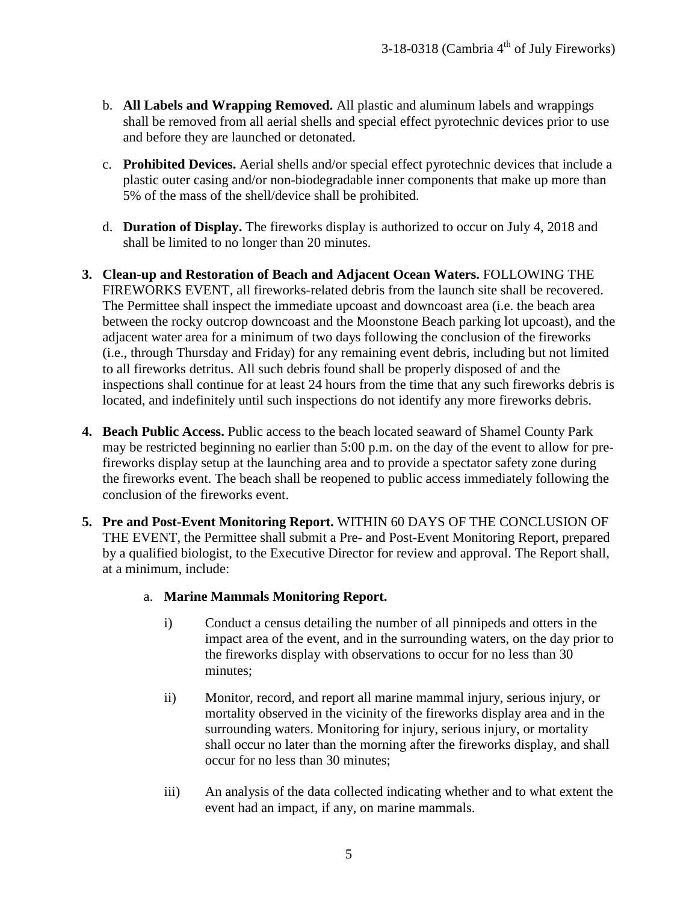- b. **All Labels and Wrapping Removed.** All plastic and aluminum labels and wrappings shall be removed from all aerial shells and special effect pyrotechnic devices prior to use and before they are launched or detonated.
- c. **Prohibited Devices.** Aerial shells and/or special effect pyrotechnic devices that include a plastic outer casing and/or non-biodegradable inner components that make up more than 5% of the mass of the shell/device shall be prohibited.
- d. **Duration of Display.** The fireworks display is authorized to occur on July 4, 2018 and shall be limited to no longer than 20 minutes.
- **3. Clean-up and Restoration of Beach and Adjacent Ocean Waters.** FOLLOWING THE FIREWORKS EVENT, all fireworks-related debris from the launch site shall be recovered. The Permittee shall inspect the immediate upcoast and downcoast area (i.e. the beach area between the rocky outcrop downcoast and the Moonstone Beach parking lot upcoast), and the adjacent water area for a minimum of two days following the conclusion of the fireworks (i.e., through Thursday and Friday) for any remaining event debris, including but not limited to all fireworks detritus. All such debris found shall be properly disposed of and the inspections shall continue for at least 24 hours from the time that any such fireworks debris is located, and indefinitely until such inspections do not identify any more fireworks debris.
- **4. Beach Public Access.** Public access to the beach located seaward of Shamel County Park may be restricted beginning no earlier than 5:00 p.m. on the day of the event to allow for prefireworks display setup at the launching area and to provide a spectator safety zone during the fireworks event. The beach shall be reopened to public access immediately following the conclusion of the fireworks event.
- **5. Pre and Post-Event Monitoring Report.** WITHIN 60 DAYS OF THE CONCLUSION OF THE EVENT, the Permittee shall submit a Pre- and Post-Event Monitoring Report, prepared by a qualified biologist, to the Executive Director for review and approval. The Report shall, at a minimum, include:

#### a. **Marine Mammals Monitoring Report.**

- i) Conduct a census detailing the number of all pinnipeds and otters in the impact area of the event, and in the surrounding waters, on the day prior to the fireworks display with observations to occur for no less than 30 minutes;
- ii) Monitor, record, and report all marine mammal injury, serious injury, or mortality observed in the vicinity of the fireworks display area and in the surrounding waters. Monitoring for injury, serious injury, or mortality shall occur no later than the morning after the fireworks display, and shall occur for no less than 30 minutes;
- iii) An analysis of the data collected indicating whether and to what extent the event had an impact, if any, on marine mammals.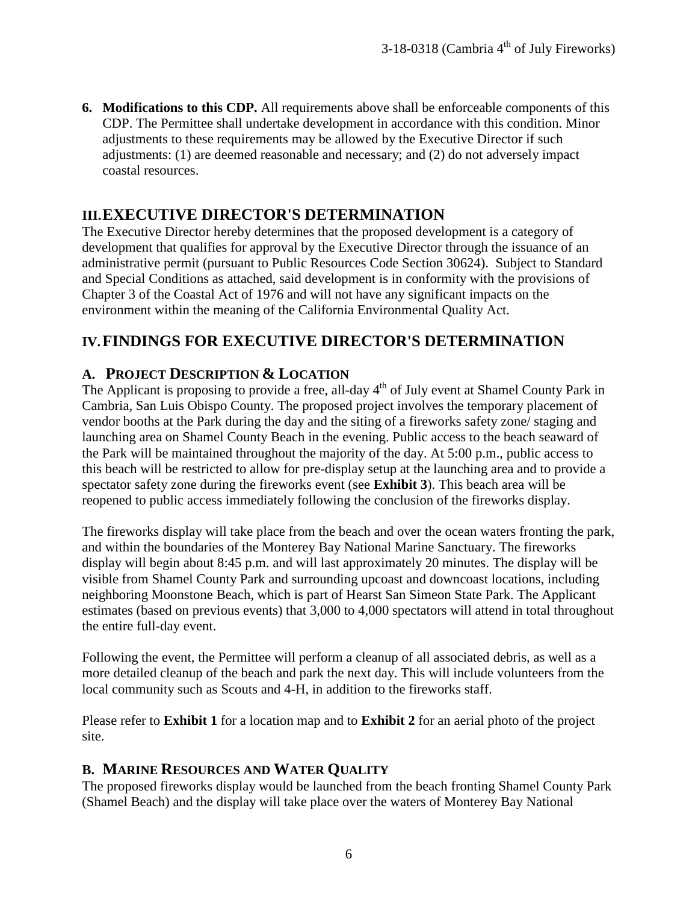**6. Modifications to this CDP.** All requirements above shall be enforceable components of this CDP. The Permittee shall undertake development in accordance with this condition. Minor adjustments to these requirements may be allowed by the Executive Director if such adjustments: (1) are deemed reasonable and necessary; and (2) do not adversely impact coastal resources.

## <span id="page-5-0"></span>**III.EXECUTIVE DIRECTOR'S DETERMINATION**

The Executive Director hereby determines that the proposed development is a category of development that qualifies for approval by the Executive Director through the issuance of an administrative permit (pursuant to Public Resources Code Section 30624). Subject to Standard and Special Conditions as attached, said development is in conformity with the provisions of Chapter 3 of the Coastal Act of 1976 and will not have any significant impacts on the environment within the meaning of the California Environmental Quality Act.

## <span id="page-5-1"></span>**IV.FINDINGS FOR EXECUTIVE DIRECTOR'S DETERMINATION**

#### <span id="page-5-2"></span>**A. PROJECT DESCRIPTION & LOCATION**

The Applicant is proposing to provide a free, all-day  $4<sup>th</sup>$  of July event at Shamel County Park in Cambria, San Luis Obispo County. The proposed project involves the temporary placement of vendor booths at the Park during the day and the siting of a fireworks safety zone/ staging and launching area on Shamel County Beach in the evening. Public access to the beach seaward of the Park will be maintained throughout the majority of the day. At 5:00 p.m., public access to this beach will be restricted to allow for pre-display setup at the launching area and to provide a spectator safety zone during the fireworks event (see **Exhibit 3**). This beach area will be reopened to public access immediately following the conclusion of the fireworks display.

The fireworks display will take place from the beach and over the ocean waters fronting the park, and within the boundaries of the Monterey Bay National Marine Sanctuary. The fireworks display will begin about 8:45 p.m. and will last approximately 20 minutes. The display will be visible from Shamel County Park and surrounding upcoast and downcoast locations, including neighboring Moonstone Beach, which is part of Hearst San Simeon State Park. The Applicant estimates (based on previous events) that 3,000 to 4,000 spectators will attend in total throughout the entire full-day event.

Following the event, the Permittee will perform a cleanup of all associated debris, as well as a more detailed cleanup of the beach and park the next day. This will include volunteers from the local community such as Scouts and 4-H, in addition to the fireworks staff.

Please refer to **Exhibit 1** for a location map and to **Exhibit 2** for an aerial photo of the project site.

#### <span id="page-5-3"></span>**B. MARINE RESOURCES AND WATER QUALITY**

The proposed fireworks display would be launched from the beach fronting Shamel County Park (Shamel Beach) and the display will take place over the waters of Monterey Bay National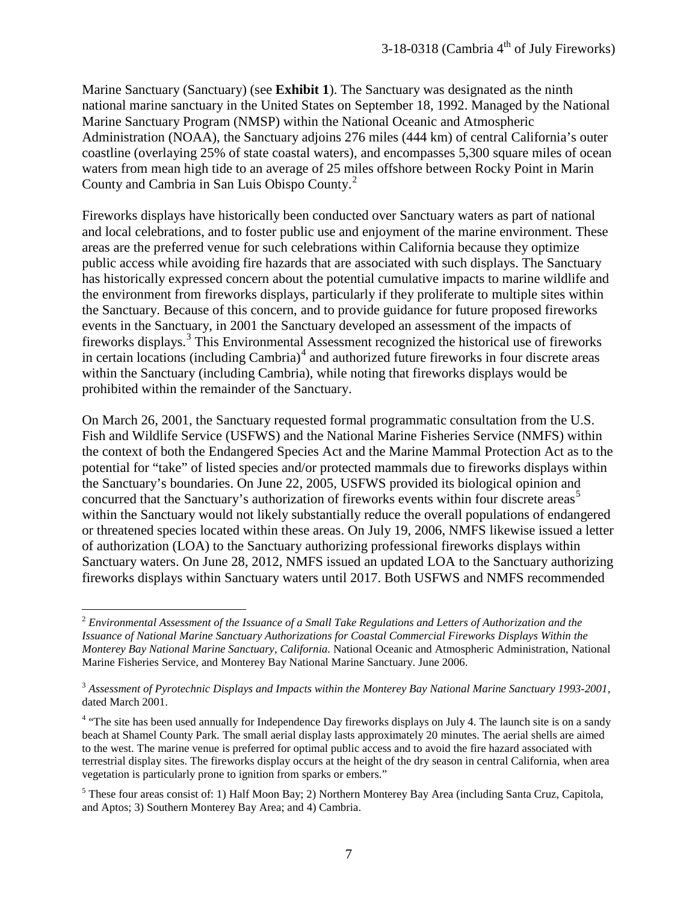Marine Sanctuary (Sanctuary) (see **Exhibit 1**). The Sanctuary was designated as the ninth national marine sanctuary in the United States on September 18, 1992. Managed by the National Marine Sanctuary Program (NMSP) within the National Oceanic and Atmospheric Administration (NOAA), the Sanctuary adjoins 276 miles (444 km) of central California's outer coastline (overlaying 25% of state coastal waters), and encompasses 5,300 square miles of ocean waters from mean high tide to an average of 25 miles offshore between Rocky Point in Marin County and Cambria in San Luis Obispo County.[2](#page-6-0)

Fireworks displays have historically been conducted over Sanctuary waters as part of national and local celebrations, and to foster public use and enjoyment of the marine environment. These areas are the preferred venue for such celebrations within California because they optimize public access while avoiding fire hazards that are associated with such displays. The Sanctuary has historically expressed concern about the potential cumulative impacts to marine wildlife and the environment from fireworks displays, particularly if they proliferate to multiple sites within the Sanctuary. Because of this concern, and to provide guidance for future proposed fireworks events in the Sanctuary, in 2001 the Sanctuary developed an assessment of the impacts of fireworks displays.<sup>[3](#page-6-1)</sup> This Environmental Assessment recognized the historical use of fireworks in certain locations (including Cambria) $4$  and authorized future fireworks in four discrete areas within the Sanctuary (including Cambria), while noting that fireworks displays would be prohibited within the remainder of the Sanctuary.

On March 26, 2001, the Sanctuary requested formal programmatic consultation from the U.S. Fish and Wildlife Service (USFWS) and the National Marine Fisheries Service (NMFS) within the context of both the Endangered Species Act and the Marine Mammal Protection Act as to the potential for "take" of listed species and/or protected mammals due to fireworks displays within the Sanctuary's boundaries. On June 22, 2005, USFWS provided its biological opinion and concurred that the Sanctuary's authorization of fireworks events within four discrete areas<sup>[5](#page-6-3)</sup> within the Sanctuary would not likely substantially reduce the overall populations of endangered or threatened species located within these areas. On July 19, 2006, NMFS likewise issued a letter of authorization (LOA) to the Sanctuary authorizing professional fireworks displays within Sanctuary waters. On June 28, 2012, NMFS issued an updated LOA to the Sanctuary authorizing fireworks displays within Sanctuary waters until 2017. Both USFWS and NMFS recommended

 $\overline{a}$ 

<span id="page-6-0"></span><sup>2</sup> *Environmental Assessment of the Issuance of a Small Take Regulations and Letters of Authorization and the Issuance of National Marine Sanctuary Authorizations for Coastal Commercial Fireworks Displays Within the Monterey Bay National Marine Sanctuary, California.* National Oceanic and Atmospheric Administration, National Marine Fisheries Service, and Monterey Bay National Marine Sanctuary. June 2006.

<span id="page-6-1"></span><sup>3</sup> *Assessment of Pyrotechnic Displays and Impacts within the Monterey Bay National Marine Sanctuary 1993-2001*, dated March 2001.

<span id="page-6-2"></span><sup>&</sup>lt;sup>4</sup> "The site has been used annually for Independence Day fireworks displays on July 4. The launch site is on a sandy beach at Shamel County Park. The small aerial display lasts approximately 20 minutes. The aerial shells are aimed to the west. The marine venue is preferred for optimal public access and to avoid the fire hazard associated with terrestrial display sites. The fireworks display occurs at the height of the dry season in central California, when area vegetation is particularly prone to ignition from sparks or embers."

<span id="page-6-3"></span><sup>5</sup> These four areas consist of: 1) Half Moon Bay; 2) Northern Monterey Bay Area (including Santa Cruz, Capitola, and Aptos; 3) Southern Monterey Bay Area; and 4) Cambria.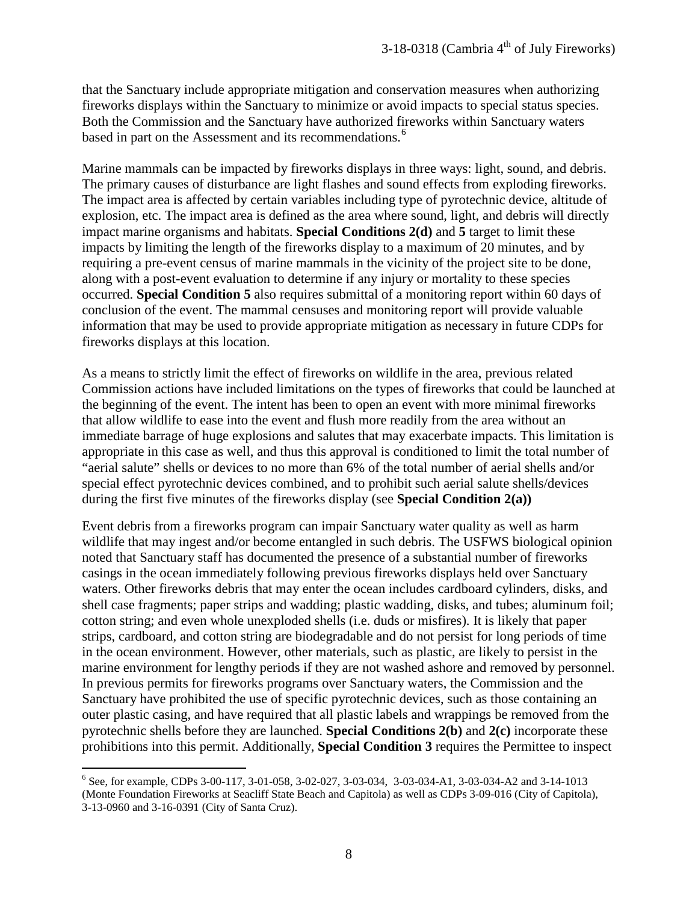that the Sanctuary include appropriate mitigation and conservation measures when authorizing fireworks displays within the Sanctuary to minimize or avoid impacts to special status species. Both the Commission and the Sanctuary have authorized fireworks within Sanctuary waters based in part on the Assessment and its recommendations.<sup>[6](#page-7-0)</sup>

Marine mammals can be impacted by fireworks displays in three ways: light, sound, and debris. The primary causes of disturbance are light flashes and sound effects from exploding fireworks. The impact area is affected by certain variables including type of pyrotechnic device, altitude of explosion, etc. The impact area is defined as the area where sound, light, and debris will directly impact marine organisms and habitats. **Special Conditions 2(d)** and **5** target to limit these impacts by limiting the length of the fireworks display to a maximum of 20 minutes, and by requiring a pre-event census of marine mammals in the vicinity of the project site to be done, along with a post-event evaluation to determine if any injury or mortality to these species occurred. **Special Condition 5** also requires submittal of a monitoring report within 60 days of conclusion of the event. The mammal censuses and monitoring report will provide valuable information that may be used to provide appropriate mitigation as necessary in future CDPs for fireworks displays at this location.

As a means to strictly limit the effect of fireworks on wildlife in the area, previous related Commission actions have included limitations on the types of fireworks that could be launched at the beginning of the event. The intent has been to open an event with more minimal fireworks that allow wildlife to ease into the event and flush more readily from the area without an immediate barrage of huge explosions and salutes that may exacerbate impacts. This limitation is appropriate in this case as well, and thus this approval is conditioned to limit the total number of "aerial salute" shells or devices to no more than 6% of the total number of aerial shells and/or special effect pyrotechnic devices combined, and to prohibit such aerial salute shells/devices during the first five minutes of the fireworks display (see **Special Condition 2(a))**

Event debris from a fireworks program can impair Sanctuary water quality as well as harm wildlife that may ingest and/or become entangled in such debris. The USFWS biological opinion noted that Sanctuary staff has documented the presence of a substantial number of fireworks casings in the ocean immediately following previous fireworks displays held over Sanctuary waters. Other fireworks debris that may enter the ocean includes cardboard cylinders, disks, and shell case fragments; paper strips and wadding; plastic wadding, disks, and tubes; aluminum foil; cotton string; and even whole unexploded shells (i.e. duds or misfires). It is likely that paper strips, cardboard, and cotton string are biodegradable and do not persist for long periods of time in the ocean environment. However, other materials, such as plastic, are likely to persist in the marine environment for lengthy periods if they are not washed ashore and removed by personnel. In previous permits for fireworks programs over Sanctuary waters, the Commission and the Sanctuary have prohibited the use of specific pyrotechnic devices, such as those containing an outer plastic casing, and have required that all plastic labels and wrappings be removed from the pyrotechnic shells before they are launched. **Special Conditions 2(b)** and **2(c)** incorporate these prohibitions into this permit. Additionally, **Special Condition 3** requires the Permittee to inspect

<span id="page-7-0"></span> $\overline{a}$ <sup>6</sup> See, for example, CDPs 3-00-117, 3-01-058, 3-02-027, 3-03-034, 3-03-034-A1, 3-03-034-A2 and 3-14-1013 (Monte Foundation Fireworks at Seacliff State Beach and Capitola) as well as CDPs 3-09-016 (City of Capitola), 3-13-0960 and 3-16-0391 (City of Santa Cruz).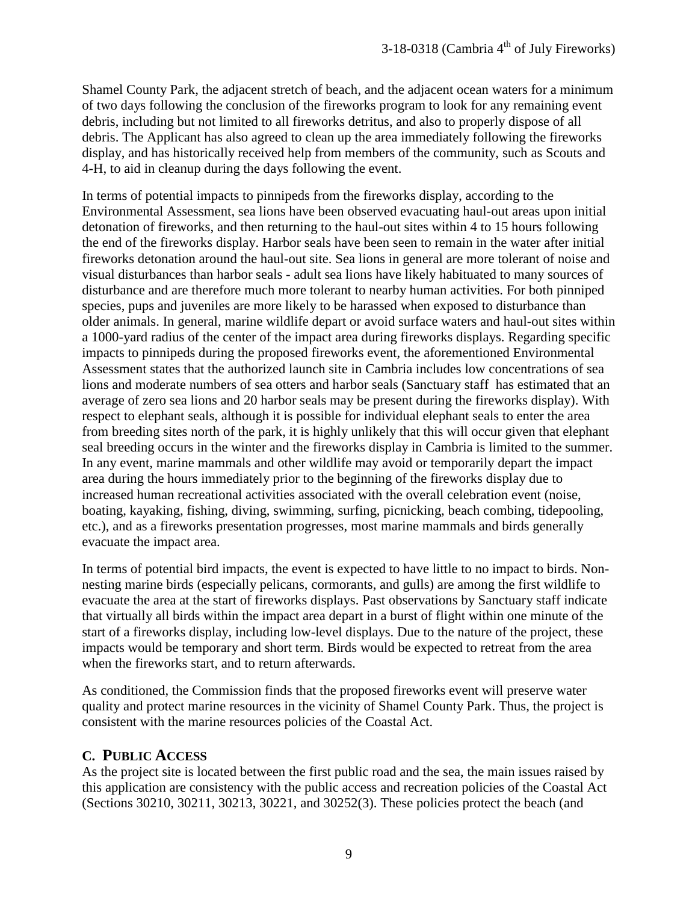Shamel County Park, the adjacent stretch of beach, and the adjacent ocean waters for a minimum of two days following the conclusion of the fireworks program to look for any remaining event debris, including but not limited to all fireworks detritus, and also to properly dispose of all debris. The Applicant has also agreed to clean up the area immediately following the fireworks display, and has historically received help from members of the community, such as Scouts and 4-H, to aid in cleanup during the days following the event.

In terms of potential impacts to pinnipeds from the fireworks display, according to the Environmental Assessment, sea lions have been observed evacuating haul-out areas upon initial detonation of fireworks, and then returning to the haul-out sites within 4 to 15 hours following the end of the fireworks display. Harbor seals have been seen to remain in the water after initial fireworks detonation around the haul-out site. Sea lions in general are more tolerant of noise and visual disturbances than harbor seals - adult sea lions have likely habituated to many sources of disturbance and are therefore much more tolerant to nearby human activities. For both pinniped species, pups and juveniles are more likely to be harassed when exposed to disturbance than older animals. In general, marine wildlife depart or avoid surface waters and haul-out sites within a 1000-yard radius of the center of the impact area during fireworks displays. Regarding specific impacts to pinnipeds during the proposed fireworks event, the aforementioned Environmental Assessment states that the authorized launch site in Cambria includes low concentrations of sea lions and moderate numbers of sea otters and harbor seals (Sanctuary staff has estimated that an average of zero sea lions and 20 harbor seals may be present during the fireworks display). With respect to elephant seals, although it is possible for individual elephant seals to enter the area from breeding sites north of the park, it is highly unlikely that this will occur given that elephant seal breeding occurs in the winter and the fireworks display in Cambria is limited to the summer. In any event, marine mammals and other wildlife may avoid or temporarily depart the impact area during the hours immediately prior to the beginning of the fireworks display due to increased human recreational activities associated with the overall celebration event (noise, boating, kayaking, fishing, diving, swimming, surfing, picnicking, beach combing, tidepooling, etc.), and as a fireworks presentation progresses, most marine mammals and birds generally evacuate the impact area.

In terms of potential bird impacts, the event is expected to have little to no impact to birds. Nonnesting marine birds (especially pelicans, cormorants, and gulls) are among the first wildlife to evacuate the area at the start of fireworks displays. Past observations by Sanctuary staff indicate that virtually all birds within the impact area depart in a burst of flight within one minute of the start of a fireworks display, including low-level displays. Due to the nature of the project, these impacts would be temporary and short term. Birds would be expected to retreat from the area when the fireworks start, and to return afterwards.

As conditioned, the Commission finds that the proposed fireworks event will preserve water quality and protect marine resources in the vicinity of Shamel County Park. Thus, the project is consistent with the marine resources policies of the Coastal Act.

#### <span id="page-8-0"></span>**C. PUBLIC ACCESS**

As the project site is located between the first public road and the sea, the main issues raised by this application are consistency with the public access and recreation policies of the Coastal Act (Sections 30210, 30211, 30213, 30221, and 30252(3). These policies protect the beach (and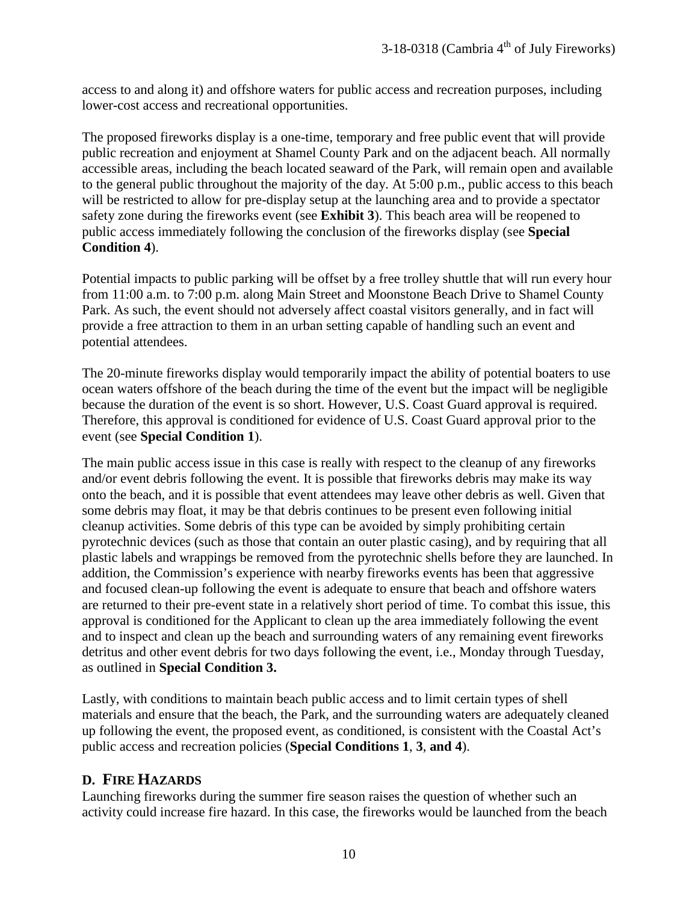access to and along it) and offshore waters for public access and recreation purposes, including lower-cost access and recreational opportunities.

The proposed fireworks display is a one-time, temporary and free public event that will provide public recreation and enjoyment at Shamel County Park and on the adjacent beach. All normally accessible areas, including the beach located seaward of the Park, will remain open and available to the general public throughout the majority of the day. At 5:00 p.m., public access to this beach will be restricted to allow for pre-display setup at the launching area and to provide a spectator safety zone during the fireworks event (see **Exhibit 3**). This beach area will be reopened to public access immediately following the conclusion of the fireworks display (see **Special Condition 4**).

Potential impacts to public parking will be offset by a free trolley shuttle that will run every hour from 11:00 a.m. to 7:00 p.m. along Main Street and Moonstone Beach Drive to Shamel County Park. As such, the event should not adversely affect coastal visitors generally, and in fact will provide a free attraction to them in an urban setting capable of handling such an event and potential attendees.

The 20-minute fireworks display would temporarily impact the ability of potential boaters to use ocean waters offshore of the beach during the time of the event but the impact will be negligible because the duration of the event is so short. However, U.S. Coast Guard approval is required. Therefore, this approval is conditioned for evidence of U.S. Coast Guard approval prior to the event (see **Special Condition 1**).

The main public access issue in this case is really with respect to the cleanup of any fireworks and/or event debris following the event. It is possible that fireworks debris may make its way onto the beach, and it is possible that event attendees may leave other debris as well. Given that some debris may float, it may be that debris continues to be present even following initial cleanup activities. Some debris of this type can be avoided by simply prohibiting certain pyrotechnic devices (such as those that contain an outer plastic casing), and by requiring that all plastic labels and wrappings be removed from the pyrotechnic shells before they are launched. In addition, the Commission's experience with nearby fireworks events has been that aggressive and focused clean-up following the event is adequate to ensure that beach and offshore waters are returned to their pre-event state in a relatively short period of time. To combat this issue, this approval is conditioned for the Applicant to clean up the area immediately following the event and to inspect and clean up the beach and surrounding waters of any remaining event fireworks detritus and other event debris for two days following the event, i.e., Monday through Tuesday, as outlined in **Special Condition 3.** 

Lastly, with conditions to maintain beach public access and to limit certain types of shell materials and ensure that the beach, the Park, and the surrounding waters are adequately cleaned up following the event, the proposed event, as conditioned, is consistent with the Coastal Act's public access and recreation policies (**Special Conditions 1**, **3**, **and 4**).

#### <span id="page-9-0"></span>**D. FIRE HAZARDS**

Launching fireworks during the summer fire season raises the question of whether such an activity could increase fire hazard. In this case, the fireworks would be launched from the beach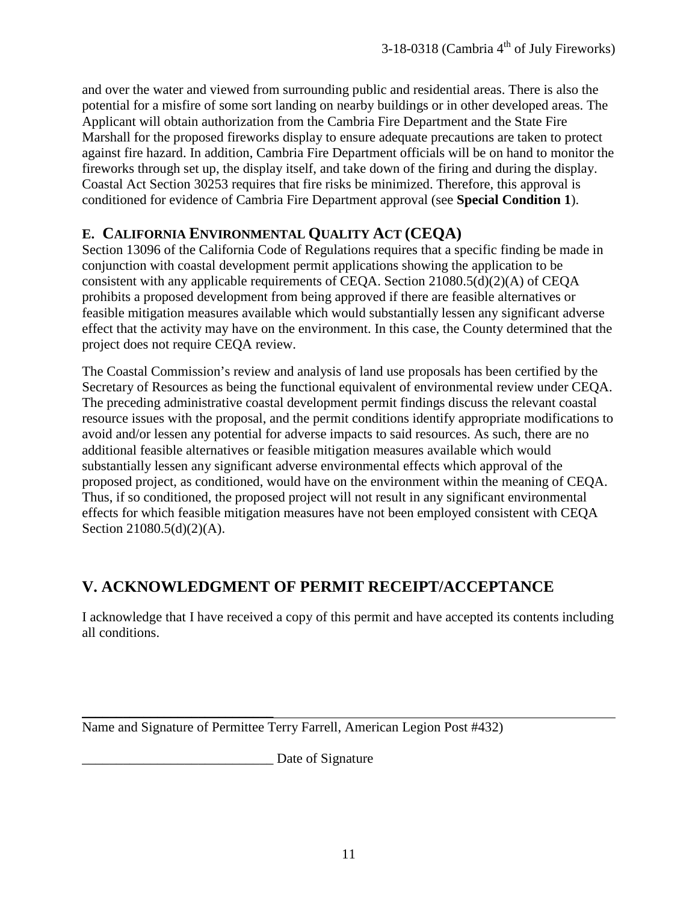and over the water and viewed from surrounding public and residential areas. There is also the potential for a misfire of some sort landing on nearby buildings or in other developed areas. The Applicant will obtain authorization from the Cambria Fire Department and the State Fire Marshall for the proposed fireworks display to ensure adequate precautions are taken to protect against fire hazard. In addition, Cambria Fire Department officials will be on hand to monitor the fireworks through set up, the display itself, and take down of the firing and during the display. Coastal Act Section 30253 requires that fire risks be minimized. Therefore, this approval is conditioned for evidence of Cambria Fire Department approval (see **Special Condition 1**).

#### <span id="page-10-0"></span>**E. CALIFORNIA ENVIRONMENTAL QUALITY ACT (CEQA)**

Section 13096 of the California Code of Regulations requires that a specific finding be made in conjunction with coastal development permit applications showing the application to be consistent with any applicable requirements of CEQA. Section 21080.5(d)(2)(A) of CEQA prohibits a proposed development from being approved if there are feasible alternatives or feasible mitigation measures available which would substantially lessen any significant adverse effect that the activity may have on the environment. In this case, the County determined that the project does not require CEQA review.

The Coastal Commission's review and analysis of land use proposals has been certified by the Secretary of Resources as being the functional equivalent of environmental review under CEQA. The preceding administrative coastal development permit findings discuss the relevant coastal resource issues with the proposal, and the permit conditions identify appropriate modifications to avoid and/or lessen any potential for adverse impacts to said resources. As such, there are no additional feasible alternatives or feasible mitigation measures available which would substantially lessen any significant adverse environmental effects which approval of the proposed project, as conditioned, would have on the environment within the meaning of CEQA. Thus, if so conditioned, the proposed project will not result in any significant environmental effects for which feasible mitigation measures have not been employed consistent with CEQA Section 21080.5(d)(2)(A).

## <span id="page-10-1"></span>**V. ACKNOWLEDGMENT OF PERMIT RECEIPT/ACCEPTANCE**

I acknowledge that I have received a copy of this permit and have accepted its contents including all conditions.

 $\overline{\phantom{a}}$  , where  $\overline{\phantom{a}}$  , where  $\overline{\phantom{a}}$  , where  $\overline{\phantom{a}}$ Name and Signature of Permittee Terry Farrell, American Legion Post #432)

\_\_\_\_\_\_\_\_\_\_\_\_\_\_\_\_\_\_\_\_\_\_\_\_\_\_\_\_ Date of Signature